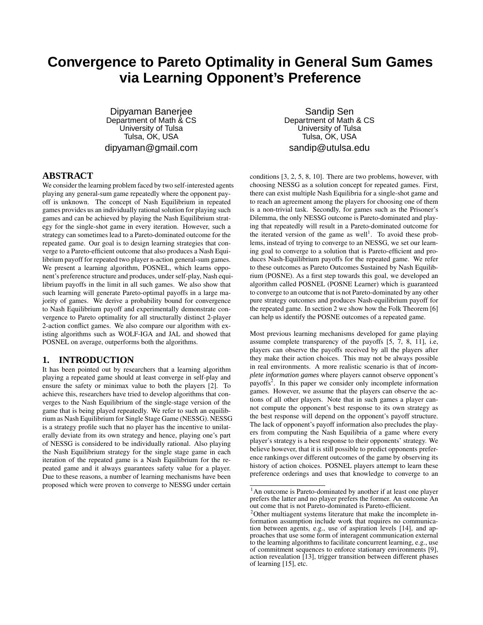# **Convergence to Pareto Optimality in General Sum Games via Learning Opponent's Preference**

Dipyaman Banerjee Department of Math & CS University of Tulsa Tulsa, OK, USA dipyaman@gmail.com

Sandip Sen Department of Math & CS University of Tulsa Tulsa, OK, USA sandip@utulsa.edu

## **ABSTRACT**

We consider the learning problem faced by two self-interested agents playing any general-sum game repeatedly where the opponent payoff is unknown. The concept of Nash Equilibrium in repeated games provides us an individually rational solution for playing such games and can be achieved by playing the Nash Equilibrium strategy for the single-shot game in every iteration. However, such a strategy can sometimes lead to a Pareto-dominated outcome for the repeated game. Our goal is to design learning strategies that converge to a Pareto-efficient outcome that also produces a Nash Equilibrium payoff for repeated two player n-action general-sum games. We present a learning algorithm, POSNEL, which learns opponent's preference structure and produces, underself-play, Nash equilibrium payoffs in the limit in all such games. We also show that such learning will generate Pareto-optimal payoffs in a large majority of games. We derive a probability bound for convergence to Nash Equilibrium payoff and experimentally demonstrate convergence to Pareto optimality for all structurally distinct 2-player 2-action conflict games. We also compare our algorithm with existing algorithms such as WOLF-IGA and JAL and showed that POSNEL on average, outperforms both the algorithms.

### **1. INTRODUCTION**

It has been pointed out by researchers that a learning algorithm playing a repeated game should at least converge in self-play and ensure the safety or minimax value to both the players [2]. To achieve this, researchers have tried to develop algorithms that converges to the Nash Equilibrium of the single-stage version of the game that is being played repeatedly. We refer to such an equilibrium as Nash Equilibrium for Single Stage Game (NESSG). NESSG is a strategy profile such that no player has the incentive to unilaterally deviate from its own strategy and hence, playing one's part of NESSG is considered to be individually rational. Also playing the Nash Equilibrium strategy for the single stage game in each iteration of the repeated game is a Nash Equilibrium for the repeated game and it always guarantees safety value for a player. Due to these reasons, a number of learning mechanisms have been proposed which were proven to converge to NESSG under certain conditions [3, 2, 5, 8, 10]. There are two problems, however, with choosing NESSG as a solution concept for repeated games. First, there can exist multiple Nash Equilibria for a single-shot game and to reach an agreement among the players for choosing one of them is a non-trivial task. Secondly, for games such as the Prisoner's Dilemma, the only NESSG outcome is Pareto-dominated and playing that repeatedly will result in a Pareto-dominated outcome for the iterated version of the game as well<sup>1</sup>. To avoid these problems, instead of trying to converge to an NESSG, we set our learning goal to converge to a solution that is Pareto-efficient and produces Nash-Equilibrium payoffs for the repeated game. We refer to these outcomes as Pareto Outcomes Sustained by Nash Equilibrium (POSNE). As a first step towards this goal, we developed an algorithm called POSNEL (POSNE Learner) which is guaranteed to converge to an outcome that is not Pareto-dominated by any other pure strategy outcomes and produces Nash-equilibrium payoff for the repeated game. In section 2 we show how the Folk Theorem [6] can help us identify the POSNE outcomes of a repeated game.

Most previous learning mechanisms developed for game playing assume complete transparency of the payoffs [5, 7, 8, 11], i.e, players can observe the payoffs received by all the players after they make their action choices. This may not be always possible in real environments. A more realistic scenario is that of *incomplete information games* where players cannot observe opponent's payoffs<sup>2</sup>. In this paper we consider only incomplete information games. However, we assume that the players can observe the actions of all other players. Note that in such games a player cannot compute the opponent's best response to its own strategy as the best response will depend on the opponent's payoff structure. The lack of opponent's payoff information also precludes the players from computing the Nash Equilibria of a game where every player's strategy is a best response to their opponents' strategy. We believe however, that it is still possible to predict opponents preference rankings over different outcomes of the game by observing its history of action choices. POSNEL players attempt to learn these preference orderings and uses that knowledge to converge to an

<sup>&</sup>lt;sup>1</sup>An outcome is Pareto-dominated by another if at least one player prefers the latter and no player prefers the former. An outcome An out come that is not Pareto-dominated is Pareto-efficient.

<sup>&</sup>lt;sup>2</sup>Other multiagent systems literature that make the incomplete information assumption include work that requires no communication between agents, e.g., use of aspiration levels [14], and approaches that use some form of interagent communication external to the learning algorithms to facilitate concurrent learning, e.g., use of commitment sequences to enforce stationary environments [9], action revealation [13], trigger transition between different phases of learning [15], etc.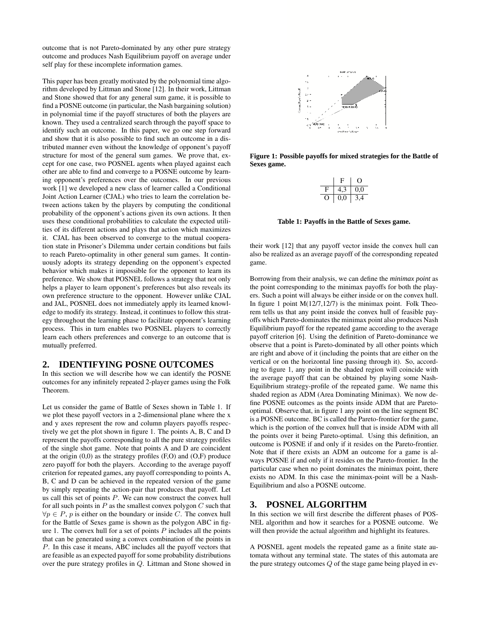outcome that is not Pareto-dominated by any other pure strategy outcome and produces Nash Equilibrium payoff on average under self play for these incomplete information games.

This paper has been greatly motivated by the polynomial time algorithm developed by Littman and Stone [12]. In their work, Littman and Stone showed that for any general sum game, it is possible to find a POSNE outcome (in particular, the Nash bargaining solution) in polynomial time if the payoff structures of both the players are known. They used a centralized search through the payoff space to identify such an outcome. In this paper, we go one step forward and show that it is also possible to find such an outcome in a distributed manner even without the knowledge of opponent's payoff structure for most of the general sum games. We prove that, except for one case, two POSNEL agents when played against each other are able to find and converge to a POSNE outcome by learning opponent's preferences over the outcomes. In our previous work [1] we developed a new class of learner called a Conditional Joint Action Learner (CJAL) who tries to learn the correlation between actions taken by the players by computing the conditional probability of the opponent's actions given its own actions. It then uses these conditional probabilities to calculate the expected utilities of its different actions and plays that action which maximizes it. CJAL has been observed to converge to the mutual cooperation state in Prisoner's Dilemma under certain conditions but fails to reach Pareto-optimality in other general sum games. It continuously adopts its strategy depending on the opponent's expected behavior which makes it impossible for the opponent to learn its preference. We show that POSNEL follows a strategy that not only helps a player to learn opponent's preferences but also reveals its own preference structure to the opponent. However unlike CJAL and JAL, POSNEL does not immediately apply its learned knowledge to modify its strategy. Instead, it continues to follow this strategy throughout the learning phase to facilitate opponent's learning process. This in turn enables two POSNEL players to correctly learn each others preferences and converge to an outcome that is mutually preferred.

#### **2. IDENTIFYING POSNE OUTCOMES**

In this section we will describe how we can identify the POSNE outcomes for any infinitely repeated 2-player games using the Folk Theorem.

Let us consider the game of Battle of Sexes shown in Table 1. If we plot these payoff vectors in a 2-dimensional plane where the x and y axes represent the row and column players payoffs respectively we get the plot shown in figure 1. The points A, B, C and D represent the payoffs corresponding to all the pure strategy profiles of the single shot game. Note that points A and D are coincident at the origin (0,0) as the strategy profiles (F,O) and (O,F) produce zero payoff for both the players. According to the average payoff criterion for repeated games, any payoff corresponding to points A, B, C and D can be achieved in the repeated version of the game by simply repeating the action-pair that produces that payoff. Let us call this set of points P. We can now construct the convex hull for all such points in  $P$  as the smallest convex polygon  $C$  such that  $\forall p \in P$ , p is either on the boundary or inside C. The convex hull for the Battle of Sexes game is shown as the polygon ABC in figure 1. The convex hull for a set of points  $P$  includes all the points that can be generated using a convex combination of the points in P. In this case it means, ABC includes all the payoff vectors that are feasible as an expected payoff for some probability distributions over the pure strategy profiles in Q. Littman and Stone showed in



**Figure 1: Possible payoffs for mixed strategies for the Battle of Sexes game.**

| H       |     |
|---------|-----|
| ٠,      | 0.0 |
| 0<br>U. | 4   |

**Table 1: Payoffs in the Battle of Sexes game.**

their work [12] that any payoff vector inside the convex hull can also be realized as an average payoff of the corresponding repeated game.

Borrowing from their analysis, we can define the *minimax point* as the point corresponding to the minimax payoffs for both the players. Such a point will always be either inside or on the convex hull. In figure 1 point  $M(12/7,12/7)$  is the minimax point. Folk Theorem tells us that any point inside the convex hull of feasible payoffs which Pareto-dominates the minimax point also produces Nash Equilibrium payoff for the repeated game according to the average payoff criterion [6]. Using the definition of Pareto-dominance we observe that a point is Pareto-dominated by all other points which are right and above of it (including the points that are either on the vertical or on the horizontal line passing through it). So, according to figure 1, any point in the shaded region will coincide with the average payoff that can be obtained by playing some Nash-Equilibrium strategy-profile of the repeated game. We name this shaded region as ADM (Area Dominating Minimax). We now define POSNE outcomes as the points inside ADM that are Paretooptimal. Observe that, in figure 1 any point on the line segment BC is a POSNE outcome. BC is called the Pareto-frontier for the game, which is the portion of the convex hull that is inside ADM with all the points over it being Pareto-optimal. Using this definition, an outcome is POSNE if and only if it resides on the Pareto-frontier. Note that if there exists an ADM an outcome for a game is always POSNE if and only if it resides on the Pareto-frontier. In the particular case when no point dominates the minimax point, there exists no ADM. In this case the minimax-point will be a Nash-Equilibrium and also a POSNE outcome.

#### **3. POSNEL ALGORITHM**

In this section we will first describe the different phases of POS-NEL algorithm and how it searches for a POSNE outcome. We will then provide the actual algorithm and highlight its features.

A POSNEL agent models the repeated game as a finite state automata without any terminal state. The states of this automata are the pure strategy outcomes  $Q$  of the stage game being played in ev-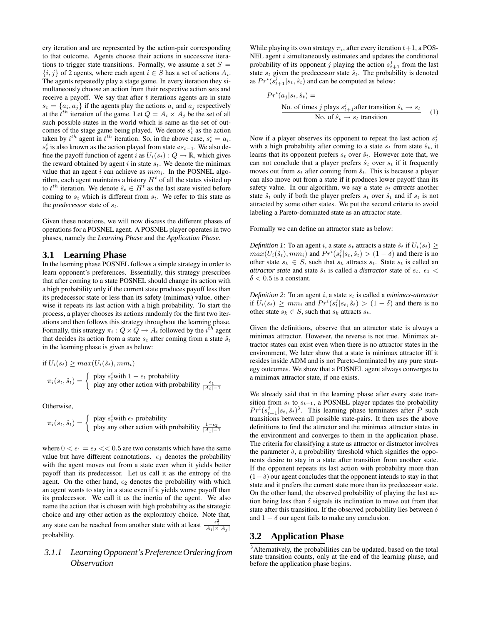ery iteration and are represented by the action-pair corresponding to that outcome. Agents choose their actions in successive iterations to trigger state transitions. Formally, we assume a set  $S =$  ${i, j}$  of 2 agents, where each agent  $i \in S$  has a set of actions  $A_i$ . The agents repeatedly play a stage game. In every iteration they simultaneously choose an action from their respective action sets and receive a payoff. We say that after  $t$  iterations agents are in state  $s_t = \{a_i, a_j\}$  if the agents play the actions  $a_i$  and  $a_j$  respectively at the  $t^{th}$  iteration of the game. Let  $Q = A_i \times A_j$  be the set of all such possible states in the world which is same as the set of outcomes of the stage game being played. We denote  $s_t^i$  as the action taken by  $i^{th}$  agent in  $t^{th}$  iteration. So, in the above case,  $s_t^i = a_i$ .  $s_t^i$  is also known as the action played from state e $s_{t-1}$ . We also define the payoff function of agent i as  $U_i(s_t) : Q \to \mathbb{R}$ , which gives the reward obtained by agent  $i$  in state  $s_t$ . We denote the minimax value that an agent i can achieve as  $mm_i$ . In the POSNEL algorithm, each agent maintains a history  $H<sup>t</sup>$  of all the states visited up to  $t^{th}$  iteration. We denote  $\hat{s}_t \in H^t$  as the last state visited before coming to  $s_t$  which is different from  $s_t$ . We refer to this state as the *predecessor* state of  $s_t$ .

Given these notations, we will now discuss the different phases of operations for a POSNEL agent. A POSNEL player operates in two phases, namely the *Learning Phase* and the *Application Phase*.

#### **3.1 Learning Phase**

In the learning phase POSNEL follows a simple strategy in order to learn opponent's preferences. Essentially, this strategy prescribes that after coming to a state POSNEL should change its action with a high probability only if the current state produces payoff less than its predecessor state or less than its safety (minimax) value, otherwise it repeats its last action with a high probability. To start the process, a player chooses its actions randomly for the first two iterations and then follows this strategy throughout the learning phase. Formally, this strategy  $\pi_i: Q \times Q \to A_i$  followed by the  $i^{th}$  agent that decides its action from a state  $s_t$  after coming from a state  $\hat{s}_t$ in the learning phase is given as below:

if 
$$
U_i(s_t) \ge max(U_i(\hat{s}_t), mm_i)
$$
  
\n
$$
\pi_i(s_t, \hat{s}_t) = \begin{cases} \text{play } s_t^i \text{with } 1 - \epsilon_1 \text{ probability} \\ \text{play any other action with probability } \frac{\epsilon_1}{|A_i| - 1} \end{cases}
$$

Otherwise,

$$
\pi_i(s_t, \hat{s}_t) = \begin{cases} \text{ play } s_t^i \text{with } \epsilon_2 \text{ probability} \\ \text{play any other action with probability } \frac{1 - \epsilon_2}{|A_i| - 1} \end{cases}
$$

where  $0 < \epsilon_1 = \epsilon_2 < 0.5$  are two constants which have the same value but have different connotations.  $\epsilon_1$  denotes the probability with the agent moves out from a state even when it yields better payoff than its predecessor. Let us call it as the entropy of the agent. On the other hand,  $\epsilon_2$  denotes the probability with which an agent wants to stay in a state even if it yields worse payoff than its predecessor. We call it as the inertia of the agent. We also name the action that is chosen with high probability as the strategic choice and any other action as the exploratory choice. Note that, any state can be reached from another state with at least  $\frac{\epsilon_1^2}{|A_i| \times |A_j|}$ probability.

## *3.1.1 Learning Opponent'sPreference Ordering from Observation*

While playing its own strategy  $\pi_i$ , after every iteration  $t+1$ , a POS-NEL agent  $i$  simultaneously estimates and updates the conditional probability of its opponent j playing the action  $s_{t+1}^j$  from the last state  $s_t$  given the predecessor state  $\hat{s}_t$ . The probability is denoted as  $Pr<sup>i</sup>(s_{t+1}^j | s_t, \hat{s}_t)$  and can be computed as below:

$$
Pri(aj|st, \hat{s}t) =
$$
  
No. of times *j* plays  $s_{t+1}^j$  after transition  $\hat{s}_t \to s_t$   
No. of  $\hat{s}_t \to s_t$  transition (1)

Now if a player observes its opponent to repeat the last action  $s_t^j$ with a high probability after coming to a state  $s_t$  from state  $\hat{s}_t$ , it learns that its opponent prefers  $s_t$  over  $\hat{s}_t$ . However note that, we can not conclude that a player prefers  $\hat{s}_t$  over  $s_t$  if it frequently moves out from  $s_t$  after coming from  $\hat{s}_t$ . This is because a player can also move out from a state if it produces lower payoff than its safety value. In our algorithm, we say a state  $s_t$  *attracts* another state  $\hat{s}_t$  only if both the player prefers  $s_t$  over  $\hat{s}_t$  and if  $s_t$  is not attracted by some other states. We put the second criteria to avoid labeling a Pareto-dominated state as an attractor state.

Formally we can define an attractor state as below:

*Definition 1*: To an agent i, a state  $s_t$  attracts a state  $\hat{s}_t$  if  $U_i(s_t) \geq$  $max(U_i(\hat{s}_t), mm_i)$  and  $Pr^i(s_t^j | s_t, \hat{s}_t) > (1 - \delta)$  and there is no other state  $s_k \in S$ , such that  $s_k$  attracts  $s_t$ . State  $s_t$  is called an *attractor state* and state  $\hat{s}_t$  is called a *distractor* state of  $s_t$ .  $\epsilon_1$  <  $\delta$  < 0.5 is a constant.

*Definition* 2: To an agent  $i$ , a state  $s_t$  is called a *minimax-attractor* if  $U_i(s_t) \geq m m_i$  and  $Pr^i(s_t^j | s_t, \hat{s}_t) > (1 - \delta)$  and there is no other state  $s_k \in S$ , such that  $s_k$  attracts  $s_t$ .

Given the definitions, observe that an attractor state is always a minimax attractor. However, the reverse is not true. Minimax attractor states can exist even when there is no attractor states in the environment, We later show that a state is minimax attractor iff it resides inside ADM and is not Pareto-dominated by any pure strategy outcomes. We show that a POSNEL agent always converges to a minimax attractor state, if one exists.

We already said that in the learning phase after every state transition from  $s_t$  to  $s_{t+1}$ , a POSNEL player updates the probability  $Pr<sup>i</sup>(s<sub>t+1</sub><sup>j</sup>|s<sub>t</sub>, \hat{s}<sub>t</sub>)<sup>3</sup>$ . This learning phase terminates after P such transitions between all possible state-pairs. It then uses the above definitions to find the attractor and the minimax attractor states in the environment and converges to them in the application phase. The criteria for classifying a state as attractor or distractor involves the parameter  $\delta$ , a probability threshold which signifies the opponents desire to stay in a state after transition from another state. If the opponent repeats its last action with probability more than  $(1-\delta)$  our agent concludes that the opponent intends to stay in that state and it prefers the current state more than its predecessor state. On the other hand, the observed probability of playing the last action being less than  $\delta$  signals its inclination to move out from that state after this transition. If the observed probability lies between  $\delta$ and  $1 - \delta$  our agent fails to make any conclusion.

#### **3.2 Application Phase**

<sup>3</sup>Alternatively, the probabilities can be updated, based on the total state transition counts, only at the end of the learning phase, and before the application phase begins.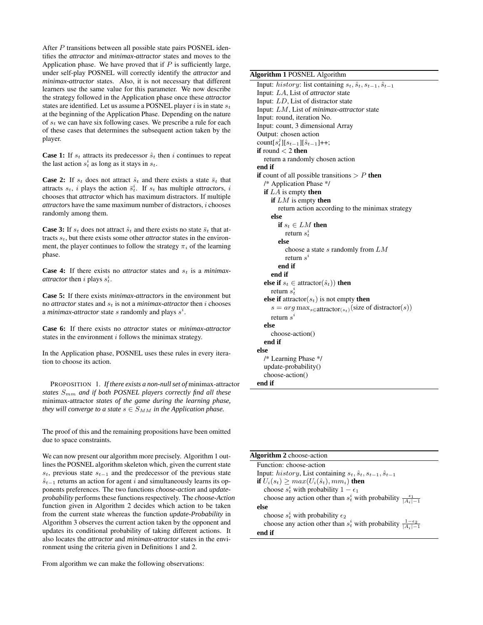After P transitions between all possible state pairs POSNEL identifies the *attractor* and *minimax-attractor* states and moves to the Application phase. We have proved that if  $P$  is sufficiently large, under self-play POSNEL will correctly identify the *attractor* and *minimax-attractor* states. Also, it is not necessary that different learners use the same value for this parameter. We now describe the strategy followed in the Application phase once these *attractor* states are identified. Let us assume a POSNEL player i is in state  $s_t$ at the beginning of the Application Phase. Depending on the nature of  $s_t$  we can have six following cases. We prescribe a rule for each of these cases that determines the subsequent action taken by the player.

**Case 1:** If  $s_t$  attracts its predecessor  $\hat{s}_t$  then i continues to repeat the last action  $s_t^i$  as long as it stays in  $s_t$ .

**Case 2:** If  $s_t$  does not attract  $\hat{s}_t$  and there exists a state  $\bar{s}_t$  that attracts  $s_t$ , *i* plays the action  $\bar{s}_t^i$ . If  $s_t$  has multiple *attractors*, *i* chooses that *attractor* which has maximum distractors. If multiple *attractor*s have the same maximum number of distractors, i chooses randomly among them.

**Case 3:** If  $s_t$  does not attract  $\hat{s}_t$  and there exists no state  $\bar{s}_t$  that attracts  $s_t$ , but there exists some other *attractor* states in the environment, the player continues to follow the strategy  $\pi_i$  of the learning phase.

**Case 4:** If there exists no *attractor* states and  $s_t$  is a *minimaxattractor* then *i* plays  $s_t^i$ .

**Case 5:** If there exists *minimax-attractor*s in the environment but no *attractor* states and  $s_t$  is not a *minimax-attractor* then *i* chooses a *minimax-attractor* state  $s$  randomly and plays  $s^i$ .

**Case 6:** If there exists no *attractor* states or *minimax-attractor* states in the environment  $i$  follows the minimax strategy.

In the Application phase, POSNEL uses these rules in every iteration to choose its action.

PROPOSITION 1. *If there exists a non-nullset of* minimax-attractor *states* Smm *and if both POSNEL players correctly find all these* minimax-attractor *states of the game during the learning phase, they will converge to a state*  $s \in S_{MM}$  *in the Application phase.* 

The proof of this and the remaining propositions have been omitted due to space constraints.

We can now present our algorithm more precisely. Algorithm 1 outlines the POSNEL algorithm skeleton which, given the current state  $s_t$ , previous state  $s_{t-1}$  and the predecessor of the previous state  $\hat{s}_{t-1}$  returns an action for agent i and simultaneously learns its opponents preferences. The two functions *choose-action* and *updateprobability* performs these functions respectively. The *choose-Action* function given in Algorithm 2 decides which action to be taken from the current state whereas the function *update-Probability* in Algorithm 3 observes the current action taken by the opponent and updates its conditional probability of taking different actions. It also locates the *attractor* and *minimax-attractor* states in the environment using the criteria given in Definitions 1 and 2.

From algorithm we can make the following observations:

#### **Algorithm 1** POSNEL Algorithm

Input: *history*: list containing  $s_t$ ,  $\hat{s}_t$ ,  $s_{t-1}$ ,  $\hat{s}_{t-1}$ Input: LA, List of *attractor* state Input: LD, List of distractor state Input: LM, List of *minimax-attractor* state Input: round, iteration No. Input: count, 3 dimensional Array Output: chosen action count $[s_t^j][s_{t-1}][\hat{s}_{t-1}]+$ ; **if** round < 2 **then** return a randomly chosen action **end if if** count of all possible transitions  $> P$  **then** /\* Application Phase \*/ **if** LA is empty **then if** LM is empty **then** return action according to the minimax strategy **else if**  $s_t \in LM$  **then** return  $s_t^i$ **else** choose a state  $s$  randomly from  $LM$ return  $s^i$ **end if end if else if**  $s_t \in$  attractor( $\hat{s}_t$ )) **then** return  $s_t^i$ **else if** attractor( $s_t$ ) is not empty **then**  $s = arg \max_{s \in \text{attractor}(s_t)} (\text{size of distractor}(s))$ return  $s^i$ **else** choose-action() **end if else** /\* Learning Phase \*/ update-probability() choose-action() **end if**

| Algorithm 2 choose-action                                                            |  |  |  |
|--------------------------------------------------------------------------------------|--|--|--|
| Function: choose-action                                                              |  |  |  |
| Input: history, List containing $s_t$ , $\hat{s}_t$ , $s_{t-1}$ , $\hat{s}_{t-1}$    |  |  |  |
| if $U_i(s_t) \geq max(U_i(\hat{s}_t), mm_i)$ then                                    |  |  |  |
| choose $s_t^i$ with probability $1 - \epsilon_1$                                     |  |  |  |
| choose any action other than $s_t^i$ with probability $\frac{\epsilon_1}{ A_i -1}$   |  |  |  |
| else                                                                                 |  |  |  |
| choose $s_t^i$ with probability $\epsilon_2$                                         |  |  |  |
| choose any action other than $s_t^i$ with probability $\frac{1-\epsilon_2}{ A_t -1}$ |  |  |  |
| end if                                                                               |  |  |  |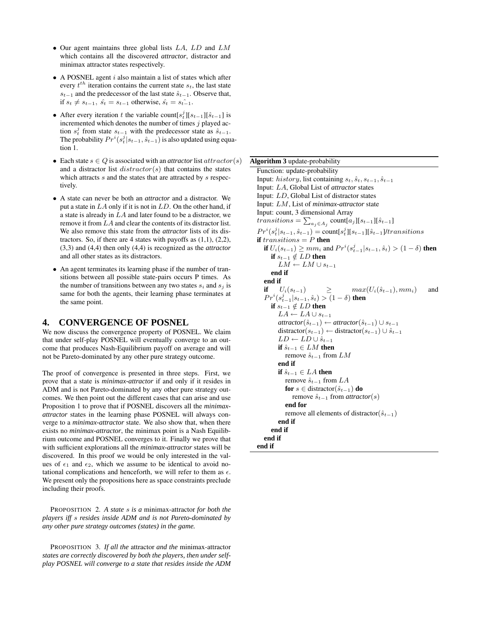- Our agent maintains three global lists  $LA$ ,  $LD$  and  $LM$ which contains all the discovered *attractor*, distractor and minimax attractor states respectively.
- $\bullet$  A POSNEL agent  $i$  also maintain a list of states which after every  $t^{th}$  iteration contains the current state  $s_t$ , the last state  $s_{t-1}$  and the predecessor of the last state  $\hat{s}_{t-1}$ . Observe that, if  $s_t \neq s_{t-1}$ ,  $\hat{s_t} = s_{t-1}$  otherwise,  $\hat{s_t} = s_{t-1}$ .
- After every iteration t the variable count $[s_t^j][s_{t-1}][\hat{s}_{t-1}]$  is incremented which denotes the number of times  $j$  played action  $s_t^j$  from state  $s_{t-1}$  with the predecessor state as  $\hat{s}_{t-1}$ . The probability  $Pr<sup>i</sup>(s_t<sup>j</sup>|s_{t-1}, \hat{s}_{t-1})$  is also updated using equation 1.
- Each state  $s \in Q$  is associated with an *attractor* list  $attractor(s)$ and a distractor list  $distractor(s)$  that contains the states which attracts s and the states that are attracted by s respectively.
- A state can never be both an *attractor* and a distractor. We put a state in  $LA$  only if it is not in  $LD$ . On the other hand, if a state is already in LA and later found to be a distractor, we remove it from LA and clear the contents of its distractor list. We also remove this state from the *attractor* lists of its distractors. So, if there are 4 states with payoffs as  $(1,1)$ ,  $(2,2)$ , (3,3) and (4,4) then only (4,4) is recognized as the *attractor* and all other states as its distractors.
- An agent terminates its learning phase if the number of transitions between all possible state-pairs occurs P times. As the number of transitions between any two states  $s_i$  and  $s_j$  is same for both the agents, their learning phase terminates at the same point.

#### **4. CONVERGENCE OF POSNEL**

We now discuss the convergence property of POSNEL. We claim that under self-play POSNEL will eventually converge to an outcome that produces Nash-Equilibrium payoff on average and will not be Pareto-dominated by any other pure strategy outcome.

The proof of convergence is presented in three steps. First, we prove that a state is *minimax-attractor* if and only if it resides in ADM and is not Pareto-dominated by any other pure strategy outcomes. We then point out the different cases that can arise and use Proposition 1 to prove that if POSNEL discovers all the *minimaxattractor* states in the learning phase POSNEL will always converge to a *minimax-attractor* state. We also show that, when there exists no *minimax-attractor*, the minimax point is a Nash Equilibrium outcome and POSNEL converges to it. Finally we prove that with sufficient explorations all the *minimax-attractor* states will be discovered. In this proof we would be only interested in the values of  $\epsilon_1$  and  $\epsilon_2$ , which we assume to be identical to avoid notational complications and henceforth, we will refer to them as  $\epsilon$ . We present only the propositions here as space constraints preclude including their proofs.

PROPOSITION 2. *A state* s *is a* minimax-attractor *for both the players iff* s *resides inside ADM and is not Pareto-dominated by any other pure strategy outcomes (states) in the game.*

PROPOSITION 3. *If all the* attractor *and the* minimax-attractor *states are correctly discovered by both the players, then under selfplay POSNEL will converge to a state that resides inside the ADM*

#### **Algorithm 3** update-probability

Function: update-probability Input: *history*, list containing  $s_t$ ,  $\hat{s}_t$ ,  $s_{t-1}$ ,  $\hat{s}_{t-1}$ Input: LA, Global List of *attractor* states Input: LD, Global List of distractor states Input: LM, List of *minimax-attractor* state Input: count, 3 dimensional Array transitions  $= \sum_{a_j \in A_j}$  count $[a_j][s_{t-1}][\hat{s}_{t-1}]$  $Pr<sup>i</sup>(s<sub>t</sub><sup>j</sup>|s<sub>t-1</sub>, \hat{s}<sub>t-1</sub>) = \text{count}[s<sub>t</sub><sup>j</sup>][s<sub>t-1</sub>]$  $transitions$ **if**  $transitions = P$  **then if**  $U_i(s_{t-1}) \geq mm_i$  and  $Pr^i(s_{t-1}^j | s_{t-1}, \hat{s}_t) > (1 - \delta)$  **then if**  $s_{t-1}$  ∉ LD **then**  $LM \leftarrow LM \cup s_{t-1}$ **end if end if if**  $U_i(s_{t-1})$  ≥  $max(U_i(\hat{s}_{t-1}), mm_i)$  and  $Pr<sup>i</sup>(s_{t-1}^j | s_{t-1}, \hat{s}_t) > (1 - \delta)$  then **if**  $s_{t-1}$  ∉ LD **then**  $LA \leftarrow LA \cup s_{t-1}$  $\textit{attractor}(\hat{s}_{t-1}) \leftarrow \textit{attractor}(\hat{s}_{t-1}) \cup s_{t-1}$ distractor( $s_{t-1}$ ) ← distractor( $s_{t-1}$ ) ∪  $\hat{s}_{t-1}$  $LD \leftarrow LD \cup \hat{s}_{t-1}$ **if**  $\hat{s}_{t-1}$  ∈  $LM$  **then** remove  $\hat{s}_{t-1}$  from  $LM$ **end if if**  $\hat{s}_{t-1}$  ∈ *LA* **then** remove  $\hat{s}_{t-1}$  from  $LA$ **for**  $s \in$  distractor( $\hat{s}_{t-1}$ ) **do** remove  $\hat{s}_{t-1}$  from *attractor*(s) **end for** remove all elements of distractor( $\hat{s}_{t-1}$ ) **end if end if end if end if**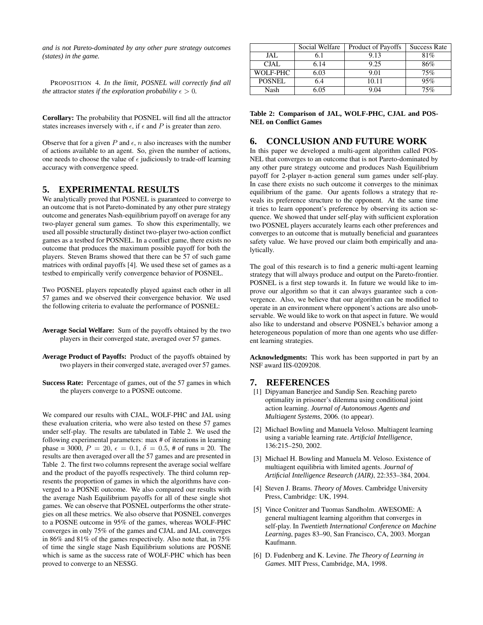*and is not Pareto-dominated by any other pure strategy outcomes (states) in the game.*

PROPOSITION 4. *In the limit, POSNEL will correctly find all the* attractor *states if the exploration probability*  $\epsilon > 0$ *.* 

**Corollary:** The probability that POSNEL will find all the attractor states increases inversely with  $\epsilon$ , if  $\epsilon$  and P is greater than zero.

Observe that for a given  $P$  and  $\epsilon$ ,  $n$  also increases with the number of actions available to an agent. So, given the number of actions, one needs to choose the value of  $\epsilon$  judiciously to trade-off learning accuracy with convergence speed.

#### **5. EXPERIMENTAL RESULTS**

We analytically proved that POSNEL is guaranteed to converge to an outcome that is not Pareto-dominated by any other pure strategy outcome and generates Nash-equilibrium payoff on average for any two-player general sum games. To show this experimentally, we used all possible structurally distinct two-player two-action conflict games as a testbed for POSNEL. In a conflict game, there exists no outcome that produces the maximum possible payoff for both the players. Steven Brams showed that there can be 57 of such game matrices with ordinal payoffs [4]. We used these set of games as a testbed to empirically verify convergence behavior of POSNEL.

Two POSNEL players repeatedly played against each other in all 57 games and we observed their convergence behavior. We used the following criteria to evaluate the performance of POSNEL:

**Average Social Welfare:** Sum of the payoffs obtained by the two players in their converged state, averaged over 57 games.

- **Average Product of Payoffs:** Product of the payoffs obtained by two players in their converged state, averaged over 57 games.
- **Success Rate:** Percentage of games, out of the 57 games in which the players converge to a POSNE outcome.

We compared our results with CJAL, WOLF-PHC and JAL using these evaluation criteria, who were also tested on these 57 games under self-play. The results are tabulated in Table 2. We used the following experimental parameters: max # of iterations in learning phase = 3000,  $P = 20$ ,  $\epsilon = 0.1$ ,  $\delta = 0.5$ , # of runs = 20. The results are then averaged over all the 57 games and are presented in Table 2. The first two columns represent the average social welfare and the product of the payoffs respectively. The third column represents the proportion of games in which the algorithms have converged to a POSNE outcome. We also compared our results with the average Nash Equilibrium payoffs for all of these single shot games. We can observe that POSNEL outperforms the other strategies on all these metrics. We also observe that POSNEL converges to a POSNE outcome in 95% of the games, whereas WOLF-PHC converges in only 75% of the games and CJAL and JAL converges in 86% and 81% of the games respectively. Also note that, in 75% of time the single stage Nash Equilibrium solutions are POSNE which is same as the success rate of WOLF-PHC which has been proved to converge to an NESSG.

|               | Social Welfare | Product of Payoffs | <b>Success Rate</b> |
|---------------|----------------|--------------------|---------------------|
| JAL           | S. I           | 9.13               | 81%                 |
| CJAL          | 6.14           | 9.25               | 86%                 |
| WOLF-PHC      | 6.03           | 9.01               | 75%                 |
| <b>POSNEL</b> | 6.4            | 10.11              | 95%                 |
| Nash          | ብና             | I ()4              | 75%                 |

**Table 2: Comparison of JAL, WOLF-PHC, CJAL and POS-NEL on Conflict Games**

## **6. CONCLUSION AND FUTURE WORK**

In this paper we developed a multi-agent algorithm called POS-NEL that converges to an outcome that is not Pareto-dominated by any other pure strategy outcome and produces Nash Equilibrium payoff for 2-player n-action general sum games under self-play. In case there exists no such outcome it converges to the minimax equilibrium of the game. Our agents follows a strategy that reveals its preference structure to the opponent. At the same time it tries to learn opponent's preference by observing its action sequence. We showed that under self-play with sufficient exploration two POSNEL players accurately learns each other preferences and converges to an outcome that is mutually beneficial and guarantees safety value. We have proved our claim both empirically and analytically.

The goal of this research is to find a generic multi-agent learning strategy that will always produce and output on the Pareto-frontier. POSNEL is a first step towards it. In future we would like to improve our algorithm so that it can always guarantee such a convergence. Also, we believe that our algorithm can be modified to operate in an environment where opponent's actions are also unobservable. We would like to work on that aspect in future. We would also like to understand and observe POSNEL's behavior among a heterogeneous population of more than one agents who use different learning strategies.

**Acknowledgments:** This work has been supported in part by an NSF award IIS-0209208.

#### **7. REFERENCES**

- [1] Dipyaman Banerjee and Sandip Sen. Reaching pareto optimality in prisoner's dilemma using conditional joint action learning. *Journal of Autonomous Agents and Multiagent Systems*, 2006. (to appear).
- [2] Michael Bowling and Manuela Veloso. Multiagent learning using a variable learning rate. *Artificial Intelligence*, 136:215–250, 2002.
- [3] Michael H. Bowling and Manuela M. Veloso. Existence of multiagent equilibria with limited agents. *Journal of Artificial Intelligence Research (JAIR)*, 22:353–384, 2004.
- [4] Steven J. Brams. *Theory of Moves*. Cambridge University Press, Cambridge: UK, 1994.
- [5] Vince Conitzer and Tuomas Sandholm. AWESOME: A general multiagent learning algorithm that converges in self-play. In *Twentieth International Conference on Machine Learning*, pages 83–90, San Francisco, CA, 2003. Morgan Kaufmann.
- [6] D. Fudenberg and K. Levine. *The Theory of Learning in Games*. MIT Press, Cambridge, MA, 1998.